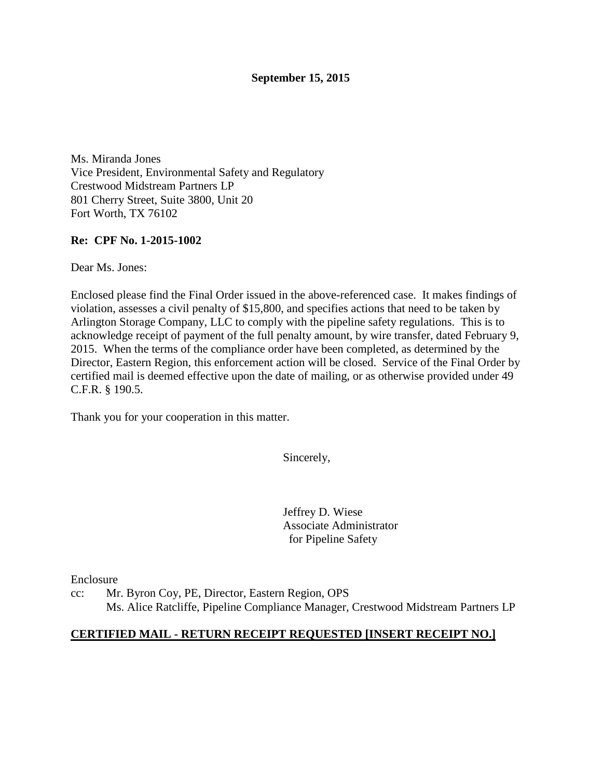# **September 15, 2015**

Ms. Miranda Jones Vice President, Environmental Safety and Regulatory Crestwood Midstream Partners LP 801 Cherry Street, Suite 3800, Unit 20 Fort Worth, TX 76102

# **Re: CPF No. 1-2015-1002**

Dear Ms. Jones:

Enclosed please find the Final Order issued in the above-referenced case. It makes findings of violation, assesses a civil penalty of \$15,800, and specifies actions that need to be taken by Arlington Storage Company, LLC to comply with the pipeline safety regulations. This is to acknowledge receipt of payment of the full penalty amount, by wire transfer, dated February 9, 2015. When the terms of the compliance order have been completed, as determined by the Director, Eastern Region, this enforcement action will be closed. Service of the Final Order by certified mail is deemed effective upon the date of mailing, or as otherwise provided under 49 C.F.R. § 190.5.

Thank you for your cooperation in this matter.

Sincerely,

Jeffrey D. Wiese Associate Administrator for Pipeline Safety

Enclosure

cc: Mr. Byron Coy, PE, Director, Eastern Region, OPS Ms. Alice Ratcliffe, Pipeline Compliance Manager, Crestwood Midstream Partners LP

#### **CERTIFIED MAIL - RETURN RECEIPT REQUESTED [INSERT RECEIPT NO.]**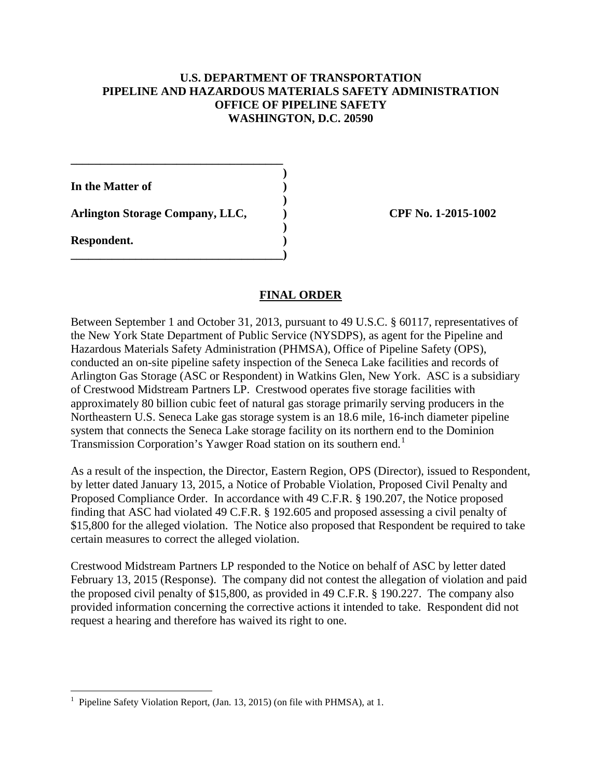### **U.S. DEPARTMENT OF TRANSPORTATION PIPELINE AND HAZARDOUS MATERIALS SAFETY ADMINISTRATION OFFICE OF PIPELINE SAFETY WASHINGTON, D.C. 20590**

**In the Matter of )** 

**Arlington Storage Company, LLC, ) CPF No. 1-2015-1002**

**\_\_\_\_\_\_\_\_\_\_\_\_\_\_\_\_\_\_\_\_\_\_\_\_\_\_\_\_\_\_\_\_\_\_\_\_ )** 

 **)** 

 **)** 

**\_\_\_\_\_\_\_\_\_\_\_\_\_\_\_\_\_\_\_\_\_\_\_\_\_\_\_\_\_\_\_\_\_\_\_\_)** 

**Respondent. )** 

 $\overline{a}$ 

# **FINAL ORDER**

Between September 1 and October 31, 2013, pursuant to 49 U.S.C. § 60117, representatives of the New York State Department of Public Service (NYSDPS), as agent for the Pipeline and Hazardous Materials Safety Administration (PHMSA), Office of Pipeline Safety (OPS), conducted an on-site pipeline safety inspection of the Seneca Lake facilities and records of Arlington Gas Storage (ASC or Respondent) in Watkins Glen, New York. ASC is a subsidiary of Crestwood Midstream Partners LP. Crestwood operates five storage facilities with approximately 80 billion cubic feet of natural gas storage primarily serving producers in the Northeastern U.S. Seneca Lake gas storage system is an 18.6 mile, 16-inch diameter pipeline system that connects the Seneca Lake storage facility on its northern end to the Dominion Transmission Corporation's Yawger Road station on its southern end.<sup>1</sup>

As a result of the inspection, the Director, Eastern Region, OPS (Director), issued to Respondent, by letter dated January 13, 2015, a Notice of Probable Violation, Proposed Civil Penalty and Proposed Compliance Order. In accordance with 49 C.F.R. § 190.207, the Notice proposed finding that ASC had violated 49 C.F.R. § 192.605 and proposed assessing a civil penalty of \$15,800 for the alleged violation. The Notice also proposed that Respondent be required to take certain measures to correct the alleged violation.

Crestwood Midstream Partners LP responded to the Notice on behalf of ASC by letter dated February 13, 2015 (Response). The company did not contest the allegation of violation and paid the proposed civil penalty of \$15,800, as provided in 49 C.F.R. § 190.227. The company also provided information concerning the corrective actions it intended to take. Respondent did not request a hearing and therefore has waived its right to one.

<sup>1</sup> Pipeline Safety Violation Report, (Jan. 13, 2015) (on file with PHMSA), at 1.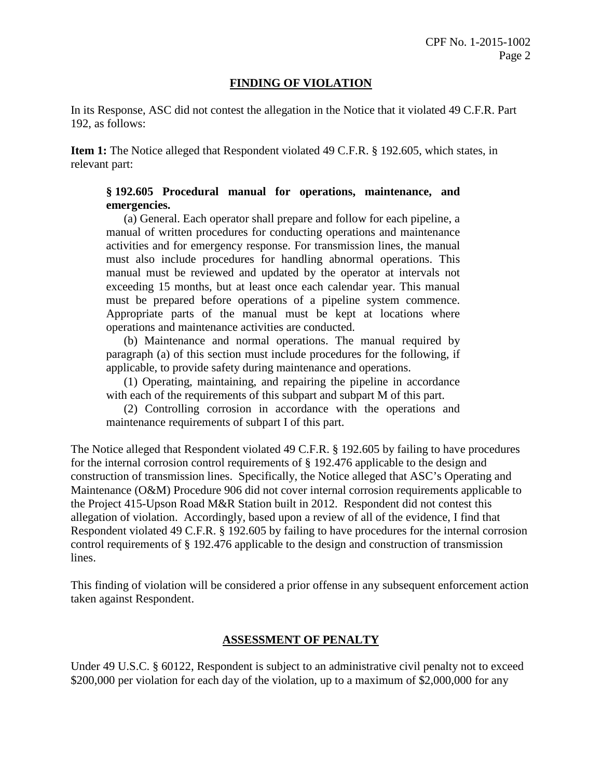### **FINDING OF VIOLATION**

In its Response, ASC did not contest the allegation in the Notice that it violated 49 C.F.R. Part 192, as follows:

**Item 1:** The Notice alleged that Respondent violated 49 C.F.R. § 192.605, which states, in relevant part:

# **§ 192.605 Procedural manual for operations, maintenance, and emergencies.**

(a) General. Each operator shall prepare and follow for each pipeline, a manual of written procedures for conducting operations and maintenance activities and for emergency response. For transmission lines, the manual must also include procedures for handling abnormal operations. This manual must be reviewed and updated by the operator at intervals not exceeding 15 months, but at least once each calendar year. This manual must be prepared before operations of a pipeline system commence. Appropriate parts of the manual must be kept at locations where operations and maintenance activities are conducted.

(b) Maintenance and normal operations. The manual required by paragraph (a) of this section must include procedures for the following, if applicable, to provide safety during maintenance and operations.

(1) Operating, maintaining, and repairing the pipeline in accordance with each of the requirements of this subpart and subpart M of this part.

(2) Controlling corrosion in accordance with the operations and maintenance requirements of subpart I of this part.

The Notice alleged that Respondent violated 49 C.F.R. § 192.605 by failing to have procedures for the internal corrosion control requirements of § 192.476 applicable to the design and construction of transmission lines. Specifically, the Notice alleged that ASC's Operating and Maintenance (O&M) Procedure 906 did not cover internal corrosion requirements applicable to the Project 415-Upson Road M&R Station built in 2012. Respondent did not contest this allegation of violation. Accordingly, based upon a review of all of the evidence, I find that Respondent violated 49 C.F.R. § 192.605 by failing to have procedures for the internal corrosion control requirements of § 192.476 applicable to the design and construction of transmission lines.

This finding of violation will be considered a prior offense in any subsequent enforcement action taken against Respondent.

#### **ASSESSMENT OF PENALTY**

Under 49 U.S.C. § 60122, Respondent is subject to an administrative civil penalty not to exceed \$200,000 per violation for each day of the violation, up to a maximum of \$2,000,000 for any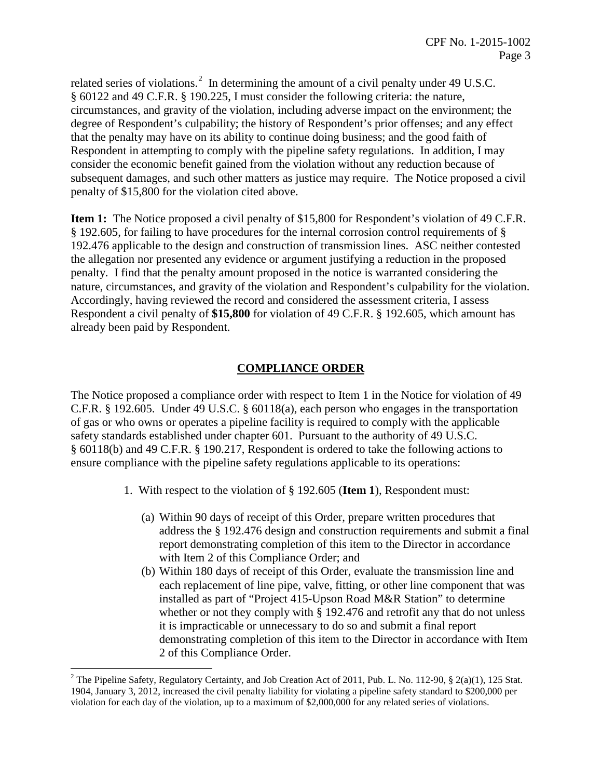related series of violations.<sup>2</sup> In determining the amount of a civil penalty under 49 U.S.C. § 60122 and 49 C.F.R. § 190.225, I must consider the following criteria: the nature, circumstances, and gravity of the violation, including adverse impact on the environment; the degree of Respondent's culpability; the history of Respondent's prior offenses; and any effect that the penalty may have on its ability to continue doing business; and the good faith of Respondent in attempting to comply with the pipeline safety regulations. In addition, I may consider the economic benefit gained from the violation without any reduction because of subsequent damages, and such other matters as justice may require. The Notice proposed a civil penalty of \$15,800 for the violation cited above.

**Item 1:** The Notice proposed a civil penalty of \$15,800 for Respondent's violation of 49 C.F.R. § 192.605, for failing to have procedures for the internal corrosion control requirements of § 192.476 applicable to the design and construction of transmission lines. ASC neither contested the allegation nor presented any evidence or argument justifying a reduction in the proposed penalty. I find that the penalty amount proposed in the notice is warranted considering the nature, circumstances, and gravity of the violation and Respondent's culpability for the violation. Accordingly, having reviewed the record and considered the assessment criteria, I assess Respondent a civil penalty of **\$15,800** for violation of 49 C.F.R. § 192.605, which amount has already been paid by Respondent.

# **COMPLIANCE ORDER**

The Notice proposed a compliance order with respect to Item 1 in the Notice for violation of 49 C.F.R. § 192.605. Under 49 U.S.C. § 60118(a), each person who engages in the transportation of gas or who owns or operates a pipeline facility is required to comply with the applicable safety standards established under chapter 601. Pursuant to the authority of 49 U.S.C. § 60118(b) and 49 C.F.R. § 190.217, Respondent is ordered to take the following actions to ensure compliance with the pipeline safety regulations applicable to its operations:

- 1. With respect to the violation of § 192.605 (**Item 1**), Respondent must:
	- (a) Within 90 days of receipt of this Order, prepare written procedures that address the § 192.476 design and construction requirements and submit a final report demonstrating completion of this item to the Director in accordance with Item 2 of this Compliance Order; and
	- (b) Within 180 days of receipt of this Order, evaluate the transmission line and each replacement of line pipe, valve, fitting, or other line component that was installed as part of "Project 415-Upson Road M&R Station" to determine whether or not they comply with § 192.476 and retrofit any that do not unless it is impracticable or unnecessary to do so and submit a final report demonstrating completion of this item to the Director in accordance with Item 2 of this Compliance Order.

 $\overline{a}$ 

<sup>&</sup>lt;sup>2</sup> The Pipeline Safety, Regulatory Certainty, and Job Creation Act of 2011, Pub. L. No. 112-90, § 2(a)(1), 125 Stat. 1904, January 3, 2012, increased the civil penalty liability for violating a pipeline safety standard to \$200,000 per violation for each day of the violation, up to a maximum of \$2,000,000 for any related series of violations.